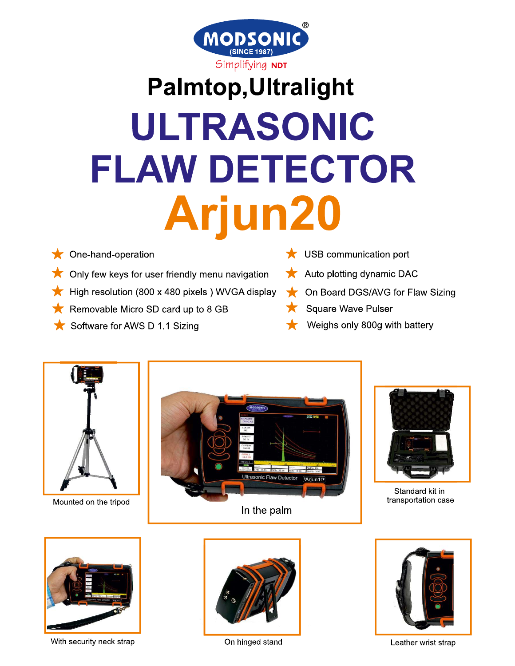

## **Palmtop, Ultralight** ULTRASONIC **FLAW DETECTOR Arjun20**

- One-hand-operation
- Only few keys for user friendly menu navigation
- High resolution (800 x 480 pixels) WVGA display
- Removable Micro SD card up to 8 GB
- Software for AWS D 1.1 Sizing
- $\bigstar$  USB communication port
	- Auto plotting dynamic DAC
	- On Board DGS/AVG for Flaw Sizing
	- **Square Wave Pulser**
	- Weighs only 800g with battery



With security neck strap



Leather wrist strap